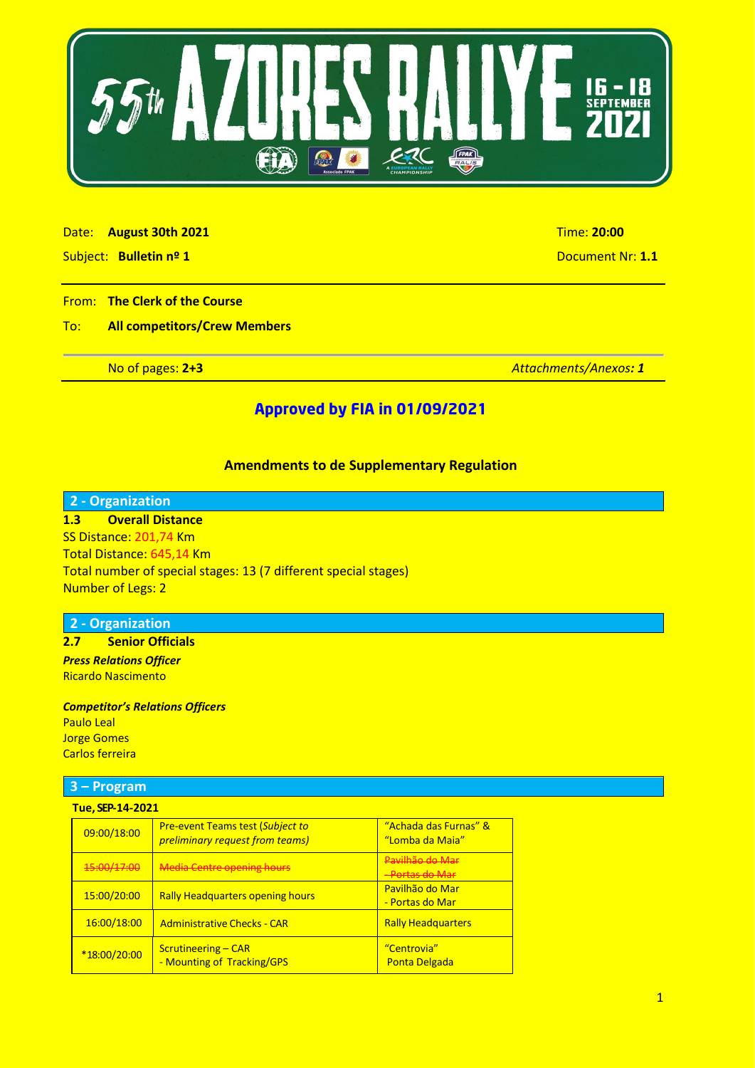

#### Date: **August 30th 2021** Time: **20:00**

Subject: **Bulletin nº 1** Document Nr: **1.1**

#### From: **The Clerk of the Course**

## To: **All competitors/Crew Members**

No of pages: **2+3** *Attachments/Anexos: 1* 

## **Approved by FIA in 01/09/2021**

## **Amendments to de Supplementary Regulation**

## **2 - Organization**

**1.3 Overall Distance** SS Distance: 201,74 Km Total Distance: 645,14 Km Total number of special stages: 13 (7 different special stages) Number of Legs: 2

#### **2 - Organization**

#### **2.7 Senior Officials** *Press Relations Officer*  Ricardo Nascimento

*Competitor's Relations Officers*  Paulo Leal Jorge Gomes Carlos ferreira

#### **3 – Program**

| Tue, SEP-14-2021 |
|------------------|
|------------------|

| 09:00/18:00  | <b>Pre-event Teams test (Subject to</b><br>preliminary request from teams) | "Achada das Furnas" &<br>"Lomba da Maia"      |
|--------------|----------------------------------------------------------------------------|-----------------------------------------------|
| 45:00/17:00  | <b>Media Centre opening hours</b>                                          | Pavilhão do Mar<br><del>- Portas do Mar</del> |
| 15:00/20:00  | <b>Rally Headquarters opening hours</b>                                    | Pavilhão do Mar<br>- Portas do Mar            |
| 16:00/18:00  | <b>Administrative Checks - CAR</b>                                         | <b>Rally Headquarters</b>                     |
| *18:00/20:00 | <b>Scrutineering – CAR</b><br>- Mounting of Tracking/GPS                   | "Centrovia"<br><b>Ponta Delgada</b>           |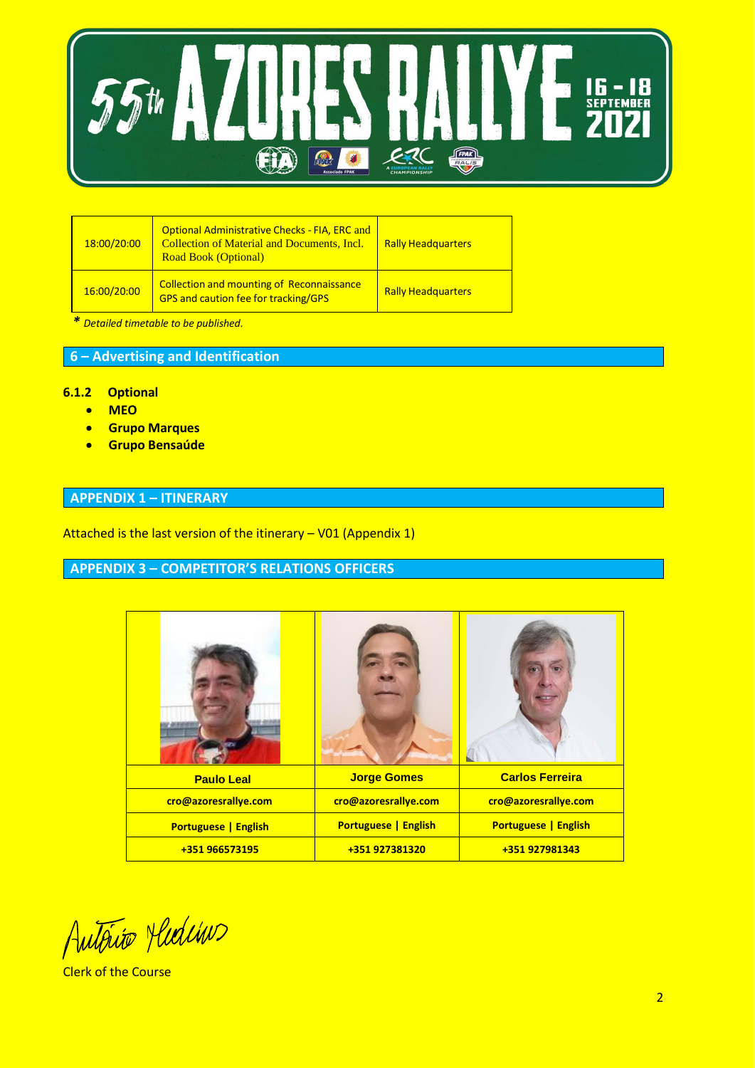

| 18:00/20:00 | <b>Optional Administrative Checks - FIA, ERC and</b><br><b>Collection of Material and Documents, Incl.</b><br><b>Road Book (Optional)</b> | <b>Rally Headquarters</b> |
|-------------|-------------------------------------------------------------------------------------------------------------------------------------------|---------------------------|
| 16:00/20:00 | <b>Collection and mounting of Reconnaissance</b><br><b>GPS and caution fee for tracking/GPS</b>                                           | <b>Rally Headquarters</b> |

*\* Detailed timetable to be published.*

## **6 – Advertising and Identification**

#### **6.1.2 Optional**

- **MEO**
- **Grupo Marques**
- **Grupo Bensaúde**

## **APPENDIX 1 – ITINERARY**

Attached is the last version of the itinerary – V01 (Appendix 1)

# **APPENDIX 3 – COMPETITOR'S RELATIONS OFFICERS**

| <b>Paulo Leal</b>           | <b>Jorge Gomes</b>          | <b>Carlos Ferreira</b>      |
|-----------------------------|-----------------------------|-----------------------------|
| cro@azoresrallye.com        | cro@azoresrallye.com        | cro@azoresrallye.com        |
| <b>Portuguese   English</b> | <b>Portuguese   English</b> | <b>Portuguese   English</b> |
| +351 966573195              | +351 927381320              | +351 927981343              |

Autorio Medino

Clerk of the Course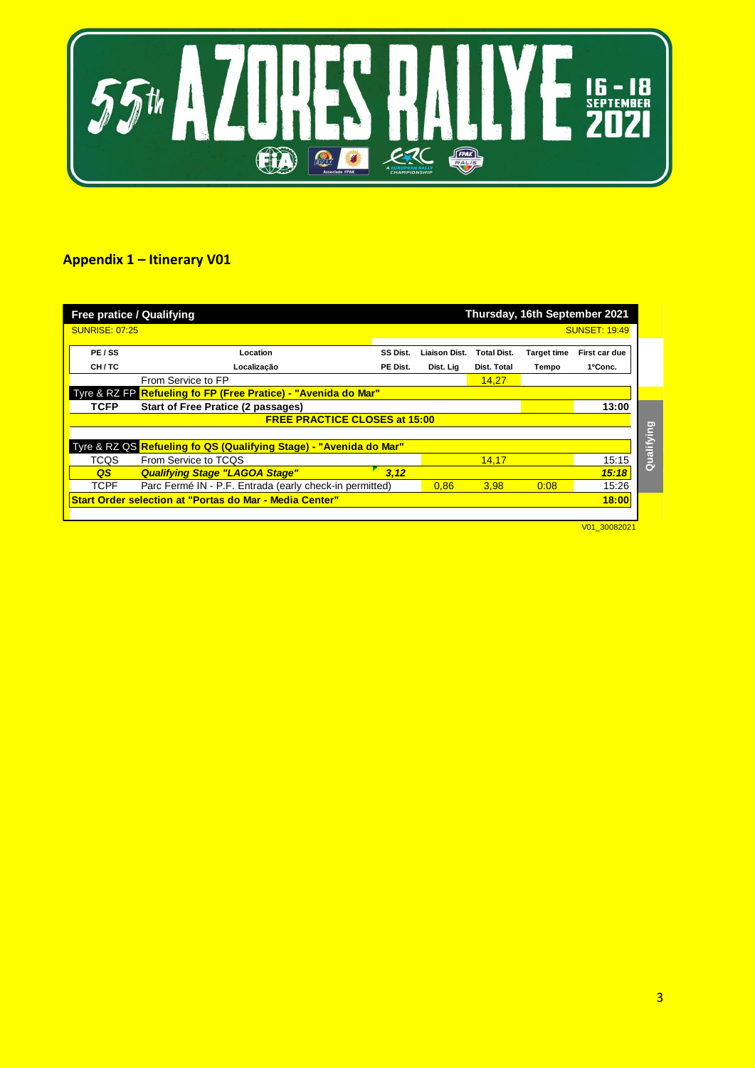

# **Appendix 1 – Itinerary V01**

| <b>Free pratice / Qualifying</b><br>Thursday, 16th September 2021       |                                                                    |          |               |                    |                    |                      |            |
|-------------------------------------------------------------------------|--------------------------------------------------------------------|----------|---------------|--------------------|--------------------|----------------------|------------|
| <b>SUNRISE: 07:25</b>                                                   |                                                                    |          |               |                    |                    | <b>SUNSET: 19:49</b> |            |
| PE/SS                                                                   | Location                                                           | SS Dist. | Liaison Dist. | <b>Total Dist.</b> | <b>Target time</b> | First car due        |            |
| CH/TC                                                                   | Localização                                                        | PE Dist. | Dist. Lig     | Dist. Total        | Tempo              | 1ºConc.              |            |
| From Service to FP<br>14.27                                             |                                                                    |          |               |                    |                    |                      |            |
|                                                                         | Tyre & RZ FP Refueling fo FP (Free Pratice) - "Avenida do Mar"     |          |               |                    |                    |                      |            |
| <b>TCFP</b>                                                             | <b>Start of Free Pratice (2 passages)</b>                          |          |               |                    |                    | 13:00                |            |
| <b>FREE PRACTICE CLOSES at 15:00</b>                                    |                                                                    |          |               |                    |                    |                      |            |
|                                                                         |                                                                    |          |               |                    |                    |                      | Qualifying |
|                                                                         | Tyre & RZ QS Refueling fo QS (Qualifying Stage) - "Avenida do Mar" |          |               |                    |                    |                      |            |
| <b>TCOS</b>                                                             | From Service to TCOS                                               |          |               | 14.17              |                    | 15:15                |            |
| QS                                                                      | <b>Qualifying Stage "LAGOA Stage"</b>                              | 3.12     |               |                    |                    | 15:18                |            |
| <b>TCPF</b>                                                             | Parc Fermé IN - P.F. Entrada (early check-in permitted)            |          | 0.86          | 3.98               | 0:08               | 15:26                |            |
| 18:00<br><b>Start Order selection at "Portas do Mar - Media Center"</b> |                                                                    |          |               |                    |                    |                      |            |
|                                                                         |                                                                    |          |               |                    |                    |                      |            |

V01\_30082021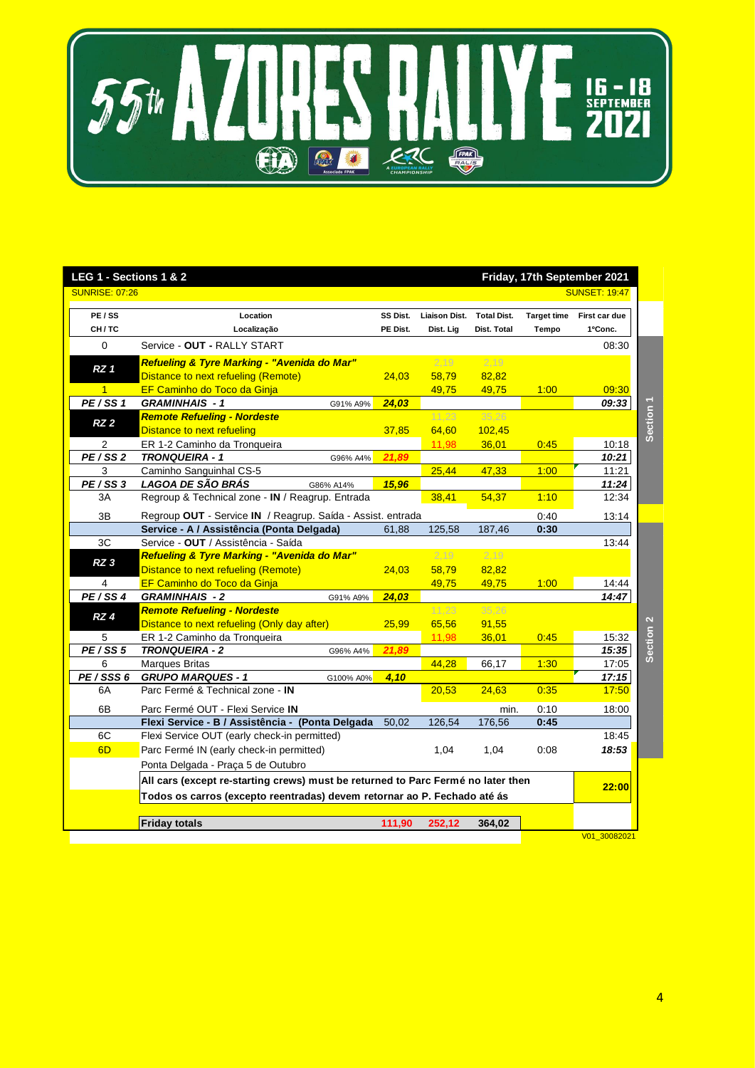

| LEG 1 - Sections 1 & 2<br>Friday, 17th September 2021                            |                                                                                                                   |                      |                            |                                   |                             |                          |                      |
|----------------------------------------------------------------------------------|-------------------------------------------------------------------------------------------------------------------|----------------------|----------------------------|-----------------------------------|-----------------------------|--------------------------|----------------------|
| <b>SUNRISE: 07:26</b>                                                            |                                                                                                                   |                      |                            |                                   |                             | <b>SUNSET: 19:47</b>     |                      |
| PE / SS<br>CH/TC                                                                 | Location<br>Localização                                                                                           | SS Dist.<br>PE Dist. | Liaison Dist.<br>Dist. Lig | <b>Total Dist.</b><br>Dist. Total | <b>Target time</b><br>Tempo | First car due<br>1ºConc. |                      |
| $\Omega$                                                                         | Service - OUT - RALLY START                                                                                       |                      |                            |                                   |                             | 08:30                    |                      |
| RZ <sub>1</sub><br>$\mathbf{1}$                                                  | Refueling & Tyre Marking - "Avenida do Mar"<br>Distance to next refueling (Remote)<br>EF Caminho do Toco da Ginja | 24,03                | 2,19<br>58,79              | 2,19<br>82,82                     |                             |                          |                      |
| PE/SS1                                                                           | <b>GRAMINHAIS - 1</b><br>G91% A9%                                                                                 | 24,03                | 49,75                      | 49,75                             | 1:00                        | 09:30<br>09:33           |                      |
| RZ 2                                                                             | <b>Remote Refueling - Nordeste</b><br>Distance to next refueling                                                  | 37,85                | 11.23<br>64,60             | 35,26<br>102,45                   |                             |                          | Section 1            |
| 2                                                                                | ER 1-2 Caminho da Tronqueira                                                                                      |                      | 11,98                      | 36,01                             | 0:45                        | 10:18                    |                      |
| PE/SS2                                                                           | <b>TRONQUEIRA - 1</b><br>G96% A4%                                                                                 | 21.89                |                            |                                   |                             | 10:21                    |                      |
| 3                                                                                | Caminho Sanguinhal CS-5                                                                                           |                      | 25,44                      | 47,33                             | 1:00                        | 11:21                    |                      |
| PE/SS3                                                                           | LAGOA DE SÃO BRÁS<br>G86% A14%                                                                                    | 15,96                |                            |                                   |                             | 11:24                    |                      |
| ЗA                                                                               | Regroup & Technical zone - IN / Reagrup. Entrada                                                                  |                      | 38,41                      | 54,37                             | 1:10                        | 12:34                    |                      |
| 3B                                                                               | Regroup OUT - Service IN / Reagrup. Saída - Assist. entrada                                                       |                      |                            |                                   | 0:40                        | 13:14                    |                      |
|                                                                                  | Service - A / Assistência (Ponta Delgada)                                                                         | 61,88                | 125,58                     | 187,46                            | 0:30                        |                          |                      |
| 3C                                                                               | Service - OUT / Assistência - Saída                                                                               |                      |                            |                                   |                             | 13:44                    |                      |
| RZ <sub>3</sub>                                                                  | Refueling & Tyre Marking - "Avenida do Mar"                                                                       |                      | 2,19                       | 2,19                              |                             |                          |                      |
|                                                                                  | Distance to next refueling (Remote)                                                                               | 24,03                | 58,79                      | 82,82                             |                             |                          |                      |
| 4                                                                                | EF Caminho do Toco da Ginja                                                                                       |                      | 49,75                      | 49,75                             | 1:00                        | 14:44                    |                      |
| PE/SS4                                                                           | <b>GRAMINHAIS - 2</b><br>G91% A9%                                                                                 | 24,03                | 11,23                      | 35,26                             |                             | 14:47                    |                      |
| RZ 4                                                                             | <b>Remote Refueling - Nordeste</b><br>Distance to next refueling (Only day after)                                 | 25,99                | 65,56                      | 91,55                             |                             |                          |                      |
| 5                                                                                | ER 1-2 Caminho da Tronqueira                                                                                      |                      | 11,98                      | 36,01                             | 0:45                        | 15:32                    | Section <sub>2</sub> |
| PE/SS 5                                                                          | <b>TRONQUEIRA - 2</b><br>G96% A4%                                                                                 | 21,89                |                            |                                   |                             | 15:35                    |                      |
| 6                                                                                | <b>Marques Britas</b>                                                                                             |                      | 44,28                      | 66,17                             | 1:30                        | 17:05                    |                      |
| PE/SSS 6                                                                         | <b>GRUPO MARQUES - 1</b><br>G100% A0%                                                                             | 4,10                 |                            |                                   |                             | 17:15                    |                      |
| 6A                                                                               | Parc Fermé & Technical zone - IN                                                                                  |                      | 20,53                      | 24,63                             | 0:35                        | 17:50                    |                      |
| 6B                                                                               | Parc Fermé OUT - Flexi Service IN                                                                                 |                      |                            | min.                              | 0:10                        | 18:00                    |                      |
|                                                                                  | Flexi Service - B / Assistência - (Ponta Delgada                                                                  | 50,02                | 126,54                     | 176,56                            | 0:45                        |                          |                      |
| 6C                                                                               | Flexi Service OUT (early check-in permitted)                                                                      |                      |                            |                                   |                             | 18:45                    |                      |
| 6D                                                                               | Parc Fermé IN (early check-in permitted)                                                                          |                      | 1,04                       | 1,04                              | 0:08                        | 18:53                    |                      |
|                                                                                  | Ponta Delgada - Praça 5 de Outubro                                                                                |                      |                            |                                   |                             |                          |                      |
| All cars (except re-starting crews) must be returned to Parc Fermé no later then |                                                                                                                   |                      |                            |                                   | 22:00                       |                          |                      |
|                                                                                  | Todos os carros (excepto reentradas) devem retornar ao P. Fechado até ás                                          |                      |                            |                                   |                             |                          |                      |
|                                                                                  |                                                                                                                   |                      |                            |                                   |                             |                          |                      |
|                                                                                  | <b>Friday totals</b>                                                                                              | 111,90               | 252,12                     | 364,02                            |                             |                          |                      |
|                                                                                  |                                                                                                                   |                      |                            |                                   |                             | V01 30082021             |                      |